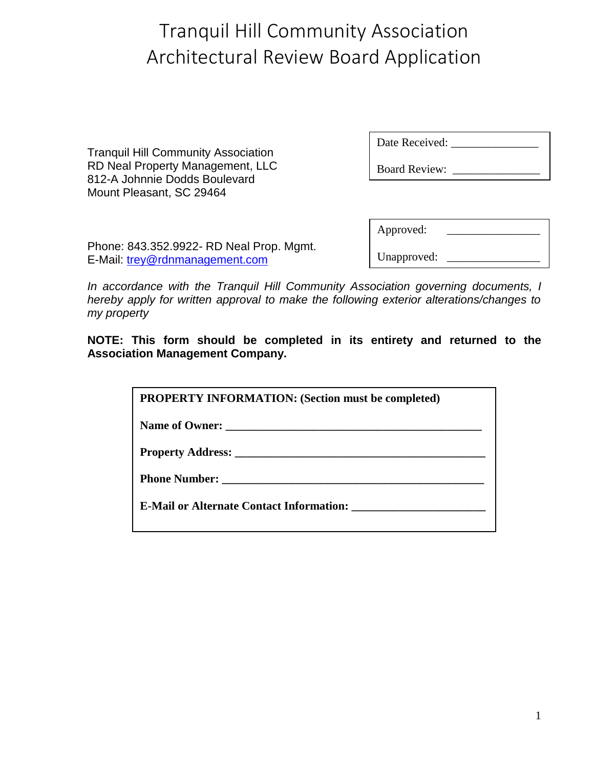Tranquil Hill Community Association RD Neal Property Management, LLC 812-A Johnnie Dodds Boulevard Mount Pleasant, SC 29464

| Date Received: |  |
|----------------|--|
|                |  |

| Phone: 843.352.9922- RD Neal Prop. Mgmt. |  |
|------------------------------------------|--|
| E-Mail: trey@rdnmanagement.com           |  |

| Approved:   |  |
|-------------|--|
| Unapproved: |  |

*In accordance with the Tranquil Hill Community Association governing documents, I hereby apply for written approval to make the following exterior alterations/changes to my property*

**NOTE: This form should be completed in its entirety and returned to the Association Management Company.**

| <b>PROPERTY INFORMATION: (Section must be completed)</b> |
|----------------------------------------------------------|
|                                                          |
|                                                          |
|                                                          |
| <b>E-Mail or Alternate Contact Information:</b>          |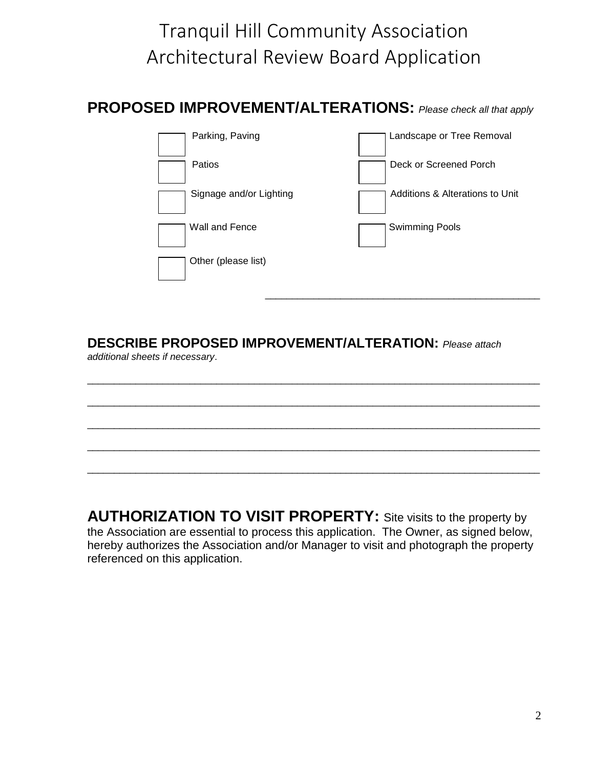**PROPOSED IMPROVEMENT/ALTERATIONS:** *Please check all that apply*

| Parking, Paving         | Landscape or Tree Removal       |
|-------------------------|---------------------------------|
| Patios                  | Deck or Screened Porch          |
| Signage and/or Lighting | Additions & Alterations to Unit |
| Wall and Fence          | <b>Swimming Pools</b>           |
| Other (please list)     |                                 |

#### **DESCRIBE PROPOSED IMPROVEMENT/ALTERATION:** *Please attach additional sheets if necessary*.

\_\_\_\_\_\_\_\_\_\_\_\_\_\_\_\_\_\_\_\_\_\_\_\_\_\_\_\_\_\_\_\_\_\_\_\_\_\_\_\_\_\_\_\_\_\_\_\_\_\_\_\_\_\_\_\_\_\_\_\_\_\_\_\_\_\_\_\_\_\_\_\_\_\_\_\_\_\_\_\_\_\_\_\_ \_\_\_\_\_\_\_\_\_\_\_\_\_\_\_\_\_\_\_\_\_\_\_\_\_\_\_\_\_\_\_\_\_\_\_\_\_\_\_\_\_\_\_\_\_\_\_\_\_\_\_\_\_\_\_\_\_\_\_\_\_\_\_\_\_\_\_\_\_\_\_\_\_\_\_\_\_\_\_\_\_\_\_\_ \_\_\_\_\_\_\_\_\_\_\_\_\_\_\_\_\_\_\_\_\_\_\_\_\_\_\_\_\_\_\_\_\_\_\_\_\_\_\_\_\_\_\_\_\_\_\_\_\_\_\_\_\_\_\_\_\_\_\_\_\_\_\_\_\_\_\_\_\_\_\_\_\_\_\_\_\_\_\_\_\_\_\_\_ \_\_\_\_\_\_\_\_\_\_\_\_\_\_\_\_\_\_\_\_\_\_\_\_\_\_\_\_\_\_\_\_\_\_\_\_\_\_\_\_\_\_\_\_\_\_\_\_\_\_\_\_\_\_\_\_\_\_\_\_\_\_\_\_\_\_\_\_\_\_\_\_\_\_\_\_\_\_\_\_\_\_\_\_ \_\_\_\_\_\_\_\_\_\_\_\_\_\_\_\_\_\_\_\_\_\_\_\_\_\_\_\_\_\_\_\_\_\_\_\_\_\_\_\_\_\_\_\_\_\_\_\_\_\_\_\_\_\_\_\_\_\_\_\_\_\_\_\_\_\_\_\_\_\_\_\_\_\_\_\_\_\_\_\_\_\_\_\_

 $\frac{1}{2}$  ,  $\frac{1}{2}$  ,  $\frac{1}{2}$  ,  $\frac{1}{2}$  ,  $\frac{1}{2}$  ,  $\frac{1}{2}$  ,  $\frac{1}{2}$  ,  $\frac{1}{2}$  ,  $\frac{1}{2}$  ,  $\frac{1}{2}$  ,  $\frac{1}{2}$  ,  $\frac{1}{2}$  ,  $\frac{1}{2}$  ,  $\frac{1}{2}$  ,  $\frac{1}{2}$  ,  $\frac{1}{2}$  ,  $\frac{1}{2}$  ,  $\frac{1}{2}$  ,  $\frac{1$ 

**AUTHORIZATION TO VISIT PROPERTY:** Site visits to the property by the Association are essential to process this application. The Owner, as signed below, hereby authorizes the Association and/or Manager to visit and photograph the property referenced on this application.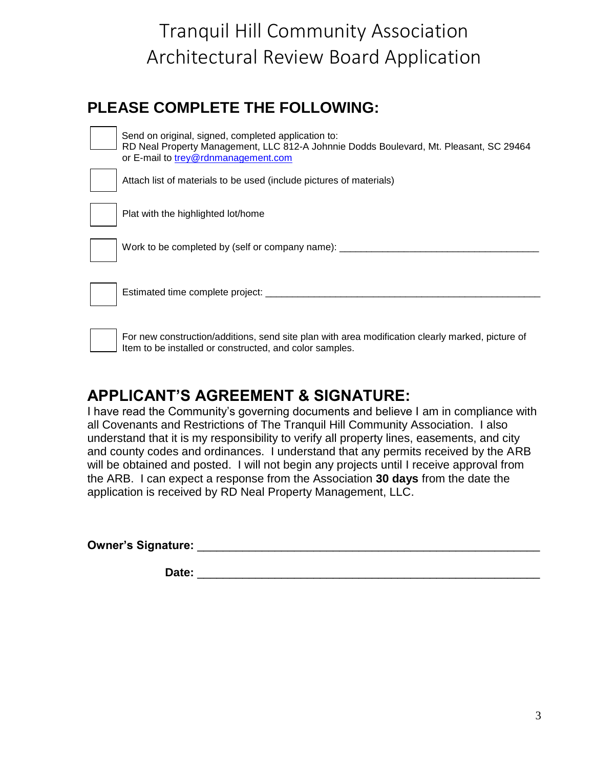#### **PLEASE COMPLETE THE FOLLOWING:**

| Send on original, signed, completed application to:<br>RD Neal Property Management, LLC 812-A Johnnie Dodds Boulevard, Mt. Pleasant, SC 29464<br>or E-mail to trey@rdnmanagement.com |
|--------------------------------------------------------------------------------------------------------------------------------------------------------------------------------------|
| Attach list of materials to be used (include pictures of materials)                                                                                                                  |
| Plat with the highlighted lot/home                                                                                                                                                   |
| Work to be completed by (self or company name):                                                                                                                                      |
| Estimated time complete project:                                                                                                                                                     |

 For new construction/additions, send site plan with area modification clearly marked, picture of Item to be installed or constructed, and color samples.

#### **APPLICANT'S AGREEMENT & SIGNATURE:**

I have read the Community's governing documents and believe I am in compliance with all Covenants and Restrictions of The Tranquil Hill Community Association. I also understand that it is my responsibility to verify all property lines, easements, and city and county codes and ordinances. I understand that any permits received by the ARB will be obtained and posted. I will not begin any projects until I receive approval from the ARB. I can expect a response from the Association **30 days** from the date the application is received by RD Neal Property Management, LLC.

**Owner's Signature:** \_\_\_\_\_\_\_\_\_\_\_\_\_\_\_\_\_\_\_\_\_\_\_\_\_\_\_\_\_\_\_\_\_\_\_\_\_\_\_\_\_\_\_\_\_\_\_\_\_\_\_\_\_

 **Date:** \_\_\_\_\_\_\_\_\_\_\_\_\_\_\_\_\_\_\_\_\_\_\_\_\_\_\_\_\_\_\_\_\_\_\_\_\_\_\_\_\_\_\_\_\_\_\_\_\_\_\_\_\_